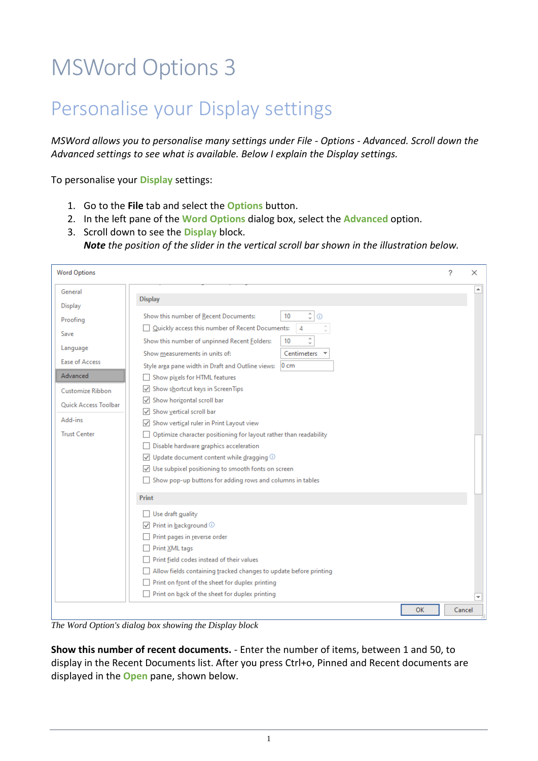## MSWord Options 3

## Personalise your Display settings

*MSWord allows you to personalise many settings under File - Options - Advanced. Scroll down the Advanced settings to see what is available. Below I explain the Display settings.* 

To personalise your **Display** settings:

- 1. Go to the **File** tab and select the **Options** button.
- 2. In the left pane of the **Word Options** dialog box, select the **Advanced** option.
- 3. Scroll down to see the **Display** block. *Note the position of the slider in the vertical scroll bar shown in the illustration below.*

| <b>Word Options</b>         |                                                                         | ? | ×                |
|-----------------------------|-------------------------------------------------------------------------|---|------------------|
| General                     |                                                                         |   | $\blacktriangle$ |
| <b>Display</b>              | <b>Display</b>                                                          |   |                  |
| Proofing                    | $\hat{\cdot}$<br>Show this number of Recent Documents:<br>10<br>$\odot$ |   |                  |
| Save                        | ¢<br>Quickly access this number of Recent Documents:<br>4               |   |                  |
|                             | $\hat{\cdot}$<br>Show this number of unpinned Recent Folders:<br>10     |   |                  |
| Language                    | Show measurements in units of:<br>Centimeters                           |   |                  |
| <b>Ease of Access</b>       | $0 \text{ cm}$<br>Style area pane width in Draft and Outline views:     |   |                  |
| Advanced                    | Show pixels for HTML features                                           |   |                  |
| Customize Ribbon            | √ Show shortcut keys in ScreenTips                                      |   |                  |
| <b>Ouick Access Toolbar</b> | Show horizontal scroll bar                                              |   |                  |
|                             | Show vertical scroll bar                                                |   |                  |
| Add-ins                     | Show vertical ruler in Print Layout view                                |   |                  |
| <b>Trust Center</b>         | Optimize character positioning for layout rather than readability       |   |                  |
|                             | Disable hardware graphics acceleration                                  |   |                  |
|                             | $\sqrt{ }$ Update document content while dragging $\odot$               |   |                  |
|                             | $\sqrt{\phantom{a}}$ Use subpixel positioning to smooth fonts on screen |   |                  |
|                             | Show pop-up buttons for adding rows and columns in tables               |   |                  |
|                             | <b>Print</b>                                                            |   |                  |
|                             | Use draft guality                                                       |   |                  |
|                             | $\sqrt{ }$ Print in background $\odot$                                  |   |                  |
|                             | Print pages in reverse order                                            |   |                  |
|                             | Print XML tags                                                          |   |                  |
|                             | Print field codes instead of their values                               |   |                  |
|                             | Allow fields containing tracked changes to update before printing       |   |                  |
|                             | Print on front of the sheet for duplex printing                         |   |                  |
|                             | Print on back of the sheet for duplex printing                          |   |                  |
|                             | <b>OK</b>                                                               |   | Cancel           |

*The Word Option's dialog box showing the Display block* 

**Show this number of recent documents.** - Enter the number of items, between 1 and 50, to display in the Recent Documents list. After you press Ctrl+o, Pinned and Recent documents are displayed in the **Open** pane, shown below.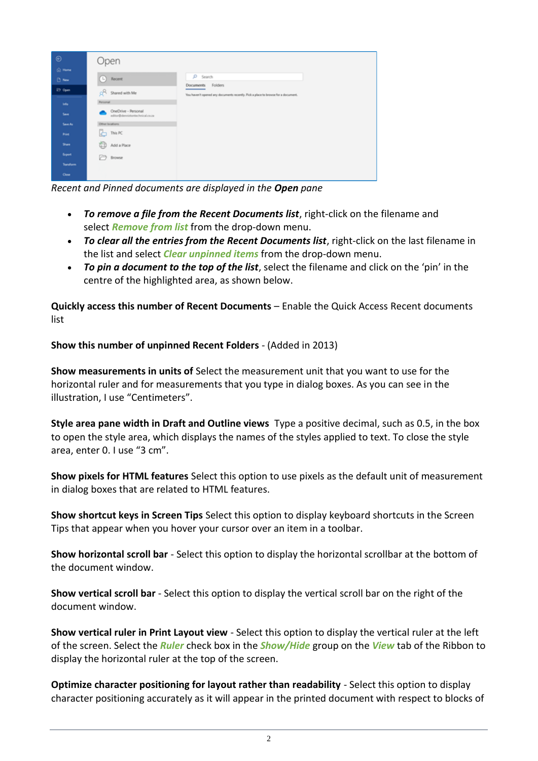

*Recent and Pinned documents are displayed in the Open pane*

- *To remove a file from the Recent Documents list*, right-click on the filename and select *Remove from list* from the drop-down menu.
- *To clear all the entries from the Recent Documents list*, right-click on the last filename in the list and select *Clear unpinned items* from the drop-down menu.
- *To pin a document to the top of the list*, select the filename and click on the 'pin' in the centre of the highlighted area, as shown below.

**Quickly access this number of Recent Documents** – Enable the Quick Access Recent documents list

**Show this number of unpinned Recent Folders** - (Added in 2013)

**Show measurements in units of** Select the measurement unit that you want to use for the horizontal ruler and for measurements that you type in dialog boxes. As you can see in the illustration, I use "Centimeters".

**Style area pane width in Draft and Outline views** Type a positive decimal, such as 0.5, in the box to open the style area, which displays the names of the styles applied to text. To close the style area, enter 0. I use "3 cm".

**Show pixels for HTML features** Select this option to use pixels as the default unit of measurement in dialog boxes that are related to HTML features.

**Show shortcut keys in Screen Tips** Select this option to display keyboard shortcuts in the Screen Tips that appear when you hover your cursor over an item in a toolbar.

**Show horizontal scroll bar** - Select this option to display the horizontal scrollbar at the bottom of the document window.

**Show vertical scroll bar** - Select this option to display the vertical scroll bar on the right of the document window.

**Show vertical ruler in Print Layout view** - Select this option to display the vertical ruler at the left of the screen. Select the *Ruler* check box in the *Show/Hide* group on the *View* tab of the Ribbon to display the horizontal ruler at the top of the screen.

**Optimize character positioning for layout rather than readability** - Select this option to display character positioning accurately as it will appear in the printed document with respect to blocks of